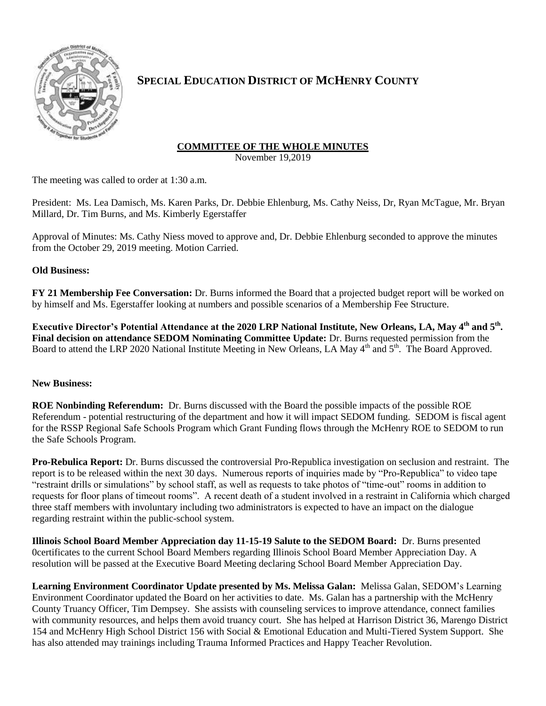

# **SPECIAL EDUCATION DISTRICT OF MCHENRY COUNTY**

## **COMMITTEE OF THE WHOLE MINUTES**

November 19,2019

The meeting was called to order at 1:30 a.m.

President: Ms. Lea Damisch, Ms. Karen Parks, Dr. Debbie Ehlenburg, Ms. Cathy Neiss, Dr, Ryan McTague, Mr. Bryan Millard, Dr. Tim Burns, and Ms. Kimberly Egerstaffer

Approval of Minutes: Ms. Cathy Niess moved to approve and, Dr. Debbie Ehlenburg seconded to approve the minutes from the October 29, 2019 meeting. Motion Carried.

### **Old Business:**

**FY 21 Membership Fee Conversation:** Dr. Burns informed the Board that a projected budget report will be worked on by himself and Ms. Egerstaffer looking at numbers and possible scenarios of a Membership Fee Structure.

**Executive Director's Potential Attendance at the 2020 LRP National Institute, New Orleans, LA, May 4th and 5th . Final decision on attendance SEDOM Nominating Committee Update:** Dr. Burns requested permission from the Board to attend the LRP 2020 National Institute Meeting in New Orleans, LA May 4<sup>th</sup> and 5<sup>th</sup>. The Board Approved.

### **New Business:**

**ROE Nonbinding Referendum:** Dr. Burns discussed with the Board the possible impacts of the possible ROE Referendum - potential restructuring of the department and how it will impact SEDOM funding. SEDOM is fiscal agent for the RSSP Regional Safe Schools Program which Grant Funding flows through the McHenry ROE to SEDOM to run the Safe Schools Program.

**Pro-Rebulica Report:** Dr. Burns discussed the controversial Pro-Republica investigation on seclusion and restraint. The report is to be released within the next 30 days. Numerous reports of inquiries made by "Pro-Republica" to video tape "restraint drills or simulations" by school staff, as well as requests to take photos of "time-out" rooms in addition to requests for floor plans of timeout rooms". A recent death of a student involved in a restraint in California which charged three staff members with involuntary including two administrators is expected to have an impact on the dialogue regarding restraint within the public-school system.

**Illinois School Board Member Appreciation day 11-15-19 Salute to the SEDOM Board:** Dr. Burns presented 0certificates to the current School Board Members regarding Illinois School Board Member Appreciation Day. A resolution will be passed at the Executive Board Meeting declaring School Board Member Appreciation Day.

**Learning Environment Coordinator Update presented by Ms. Melissa Galan:** Melissa Galan, SEDOM's Learning Environment Coordinator updated the Board on her activities to date. Ms. Galan has a partnership with the McHenry County Truancy Officer, Tim Dempsey. She assists with counseling services to improve attendance, connect families with community resources, and helps them avoid truancy court. She has helped at Harrison District 36, Marengo District 154 and McHenry High School District 156 with Social & Emotional Education and Multi-Tiered System Support. She has also attended may trainings including Trauma Informed Practices and Happy Teacher Revolution.